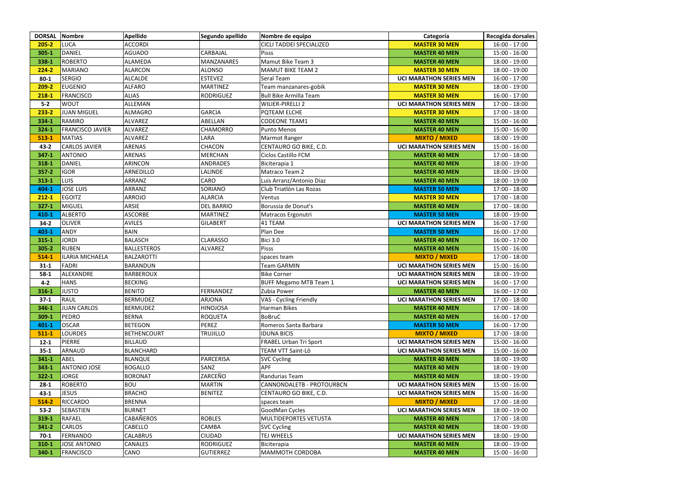| <b>DORSAL</b> | Nombre                  | <b>Apellido</b>    | Segundo apellido  | Nombre de equipo                | Categoría                      | Recogida dorsales |
|---------------|-------------------------|--------------------|-------------------|---------------------------------|--------------------------------|-------------------|
| $205 - 2$     | <b>LUCA</b>             | <b>ACCORDI</b>     |                   | <b>CICLI TADDEI SPECIALIZED</b> | <b>MASTER 30 MEN</b>           | $16:00 - 17:00$   |
| $305 - 1$     | <b>DANIEL</b>           | <b>AGUADO</b>      | <b>CARBAJAL</b>   | Pisss                           | <b>MASTER 40 MEN</b>           | $15:00 - 16:00$   |
| 338-1         | <b>ROBERTO</b>          | <b>ALAMEDA</b>     | <b>MANZANARES</b> | Mamut Bike Team 3               | <b>MASTER 40 MEN</b>           | 18:00 - 19:00     |
| $224 - 2$     | <b>MARIANO</b>          | <b>ALARCON</b>     | <b>ALONSO</b>     | <b>MAMUT BIKE TEAM 2</b>        | <b>MASTER 30 MEN</b>           | 18:00 - 19:00     |
| $80 - 1$      | <b>SERGIO</b>           | <b>ALCALDE</b>     | <b>ESTEVEZ</b>    | Seral Team                      | <b>UCI MARATHON SERIES MEN</b> | 16:00 - 17:00     |
| $209 - 2$     | <b>EUGENIO</b>          | <b>ALFARO</b>      | <b>MARTINEZ</b>   | Team manzanares-gobik           | <b>MASTER 30 MEN</b>           | 18:00 - 19:00     |
| $218 - 1$     | <b>FRANCISCO</b>        | <b>ALIAS</b>       | <b>RODRIGUEZ</b>  | <b>Bull Bike Armilla Team</b>   | <b>MASTER 30 MEN</b>           | $16:00 - 17:00$   |
| $5-2$         | <b>WOUT</b>             | ALLEMAN            |                   | <b>WILIER-PIRELLI 2</b>         | <b>UCI MARATHON SERIES MEN</b> | 17:00 - 18:00     |
| $233 - 2$     | <b>JUAN MIGUEL</b>      | <b>ALMAGRO</b>     | <b>GARCIA</b>     | PQTEAM ELCHE                    | <b>MASTER 30 MEN</b>           | 17:00 - 18:00     |
| 334-1         | <b>RAMIRO</b>           | <b>ALVAREZ</b>     | ABELLAN           | <b>CODEONE TEAM1</b>            | <b>MASTER 40 MEN</b>           | 15:00 - 16:00     |
| 324-1         | <b>FRANCISCO JAVIER</b> | <b>ALVAREZ</b>     | <b>CHAMORRO</b>   | <b>Punto Menos</b>              | <b>MASTER 40 MEN</b>           | 15:00 - 16:00     |
| $513 - 1$     | <b>MATIAS</b>           | <b>ALVAREZ</b>     | LARA              | Marmot Ranger                   | <b>MIXTO / MIXED</b>           | 18:00 - 19:00     |
| $43 - 2$      | <b>CARLOS JAVIER</b>    | <b>ARENAS</b>      | <b>CHACON</b>     | CENTAURO GO BIKE, C.D.          | <b>UCI MARATHON SERIES MEN</b> | $15:00 - 16:00$   |
| $347 - 1$     | <b>ANTONIO</b>          | <b>ARENAS</b>      | <b>MERCHAN</b>    | Ciclos Castillo FCM             | <b>MASTER 40 MEN</b>           | 17:00 - 18:00     |
| 318-1         | <b>DANIEL</b>           | <b>ARINCON</b>     | <b>ANDRADES</b>   | Biciterapia 1                   | <b>MASTER 40 MEN</b>           | 18:00 - 19:00     |
| $357 - 2$     | <b>IGOR</b>             | ARNEDILLO          | LALINDE           | Matraco Team 2                  | <b>MASTER 40 MEN</b>           | 18:00 - 19:00     |
| $313 - 1$     | <b>LUIS</b>             | <b>ARRANZ</b>      | <b>CARO</b>       | Luis Arranz/Antonio Diaz        | <b>MASTER 40 MEN</b>           | 18:00 - 19:00     |
| 404-1         | <b>JOSE LUIS</b>        | ARRANZ             | <b>SORIANO</b>    | Club Triatlón Las Rozas         | <b>MASTER 50 MEN</b>           | 17:00 - 18:00     |
| $212 - 1$     | <b>EGOITZ</b>           | <b>ARROJO</b>      | <b>ALARCIA</b>    | Ventus                          | <b>MASTER 30 MEN</b>           | 17:00 - 18:00     |
| $327 - 1$     | <b>MIGUEL</b>           | <b>ARSIE</b>       | <b>DEL BARRIO</b> | Borussia de Donut's             | <b>MASTER 40 MEN</b>           | 17:00 - 18:00     |
| 410-1         | <b>ALBERTO</b>          | <b>ASCORBE</b>     | <b>MARTINEZ</b>   | Matracos Ergonutri              | <b>MASTER 50 MEN</b>           | 18:00 - 19:00     |
| $34 - 2$      | <b>OLIVER</b>           | <b>AVILES</b>      | <b>GILABERT</b>   | 41 TEAM                         | <b>UCI MARATHON SERIES MEN</b> | $16:00 - 17:00$   |
| 403-1         | <b>ANDY</b>             | <b>BAIN</b>        |                   | Plan Dee                        | <b>MASTER 50 MEN</b>           | $16:00 - 17:00$   |
| $315 - 1$     | <b>JORDI</b>            | <b>BALASCH</b>     | <b>CLARASSO</b>   | <b>Bici 3.0</b>                 | <b>MASTER 40 MEN</b>           | 16:00 - 17:00     |
| $305 - 2$     | <b>RUBEN</b>            | <b>BALLESTEROS</b> | <b>ALVAREZ</b>    | Pisss                           | <b>MASTER 40 MEN</b>           | 15:00 - 16:00     |
| $514 - 1$     | ILARIA MICHAELA         | BALZAROTTI         |                   | spaces team                     | <b>MIXTO / MIXED</b>           | 17:00 - 18:00     |
| $31 - 1$      | <b>FADRI</b>            | BARANDUN           |                   | <b>Team GARMIN</b>              | <b>UCI MARATHON SERIES MEN</b> | $15:00 - 16:00$   |
| $58-1$        | ALEXANDRE               | <b>BARBEROUX</b>   |                   | <b>Bike Corner</b>              | <b>UCI MARATHON SERIES MEN</b> | 18:00 - 19:00     |
| $4 - 2$       | <b>HANS</b>             | <b>BECKING</b>     |                   | <b>BUFF Megamo MTB Team 1</b>   | <b>UCI MARATHON SERIES MEN</b> | $16:00 - 17:00$   |
| $316 - 1$     | <b>JUSTO</b>            | <b>BENITO</b>      | FERNANDEZ         | Zubia Power                     | <b>MASTER 40 MEN</b>           | 16:00 - 17:00     |
| $37-1$        | <b>RAUL</b>             | <b>BERMUDEZ</b>    | <b>ARJONA</b>     | VAS - Cycling Friendly          | <b>UCI MARATHON SERIES MEN</b> | 17:00 - 18:00     |
| 346-1         | <b>JUAN CARLOS</b>      | <b>BERMUDEZ</b>    | <b>HINOJOSA</b>   | Harman Bikes                    | <b>MASTER 40 MEN</b>           | 17:00 - 18:00     |
| 309-1         | <b>PEDRO</b>            | <b>BERNA</b>       | <b>ROQUETA</b>    | <b>BoBruC</b>                   | <b>MASTER 40 MEN</b>           | $16:00 - 17:00$   |
| $401 - 1$     | <b>OSCAR</b>            | <b>BETEGON</b>     | <b>PEREZ</b>      | Romeros Santa Barbara           | <b>MASTER 50 MEN</b>           | $16:00 - 17:00$   |
| $511 - 1$     | <b>LOURDES</b>          | <b>BETHENCOURT</b> | <b>TRUJILLO</b>   | <b>IDUNA BICIS</b>              | <b>MIXTO / MIXED</b>           | 17:00 - 18:00     |
| $12 - 1$      | <b>PIERRE</b>           | <b>BILLAUD</b>     |                   | FRABEL Urban Tri Sport          | <b>UCI MARATHON SERIES MEN</b> | $15:00 - 16:00$   |
| $35 - 1$      | <b>ARNAUD</b>           | <b>BLANCHARD</b>   |                   | TEAM VTT Saint-Lô               | <b>UCI MARATHON SERIES MEN</b> | $15:00 - 16:00$   |
| $341 - 1$     | ABEL                    | <b>BLANQUE</b>     | <b>PARCERISA</b>  | <b>SVC Cycling</b>              | <b>MASTER 40 MEN</b>           | 18:00 - 19:00     |
| $343 - 1$     | <b>ANTONIO JOSE</b>     | <b>BOGALLO</b>     | SANZ              | <b>APF</b>                      | <b>MASTER 40 MEN</b>           | 18:00 - 19:00     |
| $322 - 1$     | <b>JORGE</b>            | <b>BORONAT</b>     | ZARCEÑO           | Randurias Team                  | <b>MASTER 40 MEN</b>           | 18:00 - 19:00     |
| $28-1$        | <b>ROBERTO</b>          | <b>BOU</b>         | <b>MARTIN</b>     | CANNONDALETB - PROTOURBCN       | <b>UCI MARATHON SERIES MEN</b> | $15:00 - 16:00$   |
| $43 - 1$      | <b>JESUS</b>            | <b>BRACHO</b>      | <b>BENITEZ</b>    | CENTAURO GO BIKE, C.D.          | <b>UCI MARATHON SERIES MEN</b> | $15:00 - 16:00$   |
| $514 - 2$     | <b>RICCARDO</b>         | <b>BRENNA</b>      |                   | spaces team                     | <b>MIXTO / MIXED</b>           | 17:00 - 18:00     |
| $53-2$        | <b>SEBASTIEN</b>        | <b>BURNET</b>      |                   | GoodMan Cycles                  | <b>UCI MARATHON SERIES MEN</b> | 18:00 - 19:00     |
| 319-1         | <b>RAFAEL</b>           | <b>CABAÑEROS</b>   | <b>ROBLES</b>     | MULTIDEPORTES VETUSTA           | <b>MASTER 40 MEN</b>           | 17:00 - 18:00     |
| $341 - 2$     | <b>CARLOS</b>           | <b>CABELLO</b>     | <b>CAMBA</b>      | <b>SVC Cycling</b>              | <b>MASTER 40 MEN</b>           | 18:00 - 19:00     |
| $70-1$        | <b>FERNANDO</b>         | <b>CALABRUS</b>    | <b>CIUDAD</b>     | TEJ WHEELS                      | <b>UCI MARATHON SERIES MEN</b> | 18:00 - 19:00     |
| $310-1$       | <b>JOSE ANTONIO</b>     | <b>CANALES</b>     | <b>RODRIGUEZ</b>  | Biciterapia                     | <b>MASTER 40 MEN</b>           | 18:00 - 19:00     |
| 340-1         | <b>FRANCISCO</b>        | CANO               | <b>GUTIERREZ</b>  | MAMMOTH CORDOBA                 | <b>MASTER 40 MEN</b>           | $15:00 - 16:00$   |

|              | ī |  |
|--------------|---|--|
| )            |   |  |
|              |   |  |
| )            |   |  |
| $\mathbf{)}$ |   |  |
| )            |   |  |
| )            |   |  |
| )            |   |  |
|              |   |  |
| )            |   |  |
| )            |   |  |
| )            |   |  |
| )            |   |  |
| )            |   |  |
| )            |   |  |
| )            |   |  |
|              |   |  |
| )            |   |  |
| $\mathbf{)}$ |   |  |
| )            |   |  |
| $\mathbf{)}$ |   |  |
| $\mathbf{)}$ |   |  |
| )            |   |  |
| $\mathbf{)}$ |   |  |
| )            |   |  |
|              |   |  |
| $\mathbf{)}$ |   |  |
| )            |   |  |
| )            |   |  |
| )            |   |  |
| )            |   |  |
| $\mathbf{)}$ |   |  |
| )            |   |  |
|              |   |  |
| )            |   |  |
| ١            |   |  |
| $\mathbf{)}$ |   |  |
| $\mathbf{)}$ |   |  |
| )            |   |  |
| )            |   |  |
|              |   |  |
| )            |   |  |
| )            |   |  |
| )            |   |  |
| $\mathbf{)}$ |   |  |
| )            |   |  |
| )            |   |  |
| J            |   |  |
|              |   |  |
| )            |   |  |
| )            |   |  |
| $\mathbf{)}$ |   |  |
| )            |   |  |
| $\mathbf{)}$ |   |  |
| )            |   |  |
|              |   |  |
| )            |   |  |
| )            |   |  |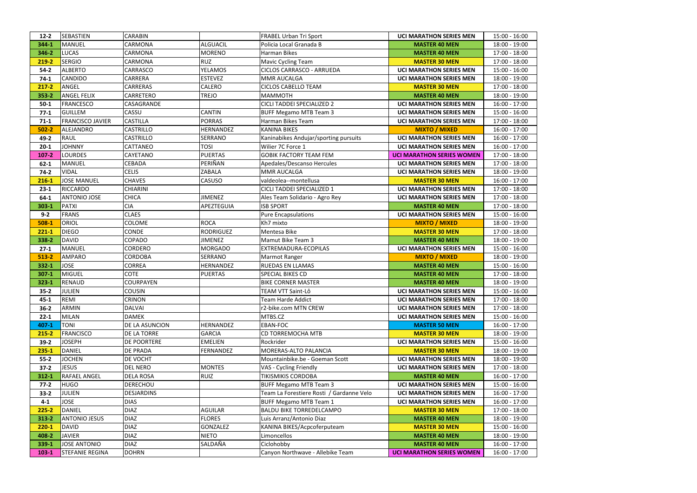|           | <b>SEBASTIEN</b>        | <b>CARABIN</b>     |                  | <b>FRABEL Urban Tri Sport</b>            | <b>UCI MARATHON SERIES MEN</b>   |                 |
|-----------|-------------------------|--------------------|------------------|------------------------------------------|----------------------------------|-----------------|
| $12 - 2$  | MANUEL                  | CARMONA            | <b>ALGUACIL</b>  | Policia Local Granada B                  |                                  | 15:00 - 16:00   |
| 344-1     |                         |                    |                  |                                          | <b>MASTER 40 MEN</b>             | 18:00 - 19:00   |
| 346-2     | <b>LUCAS</b>            | CARMONA            | <b>MORENO</b>    | Harman Bikes                             | <b>MASTER 40 MEN</b>             | 17:00 - 18:00   |
| 219-2     | <b>SERGIO</b>           | CARMONA            | <b>RUZ</b>       | <b>Mavic Cycling Team</b>                | <b>MASTER 30 MEN</b>             | 17:00 - 18:00   |
| $54-2$    | <b>ALBERTO</b>          | CARRASCO           | <b>YELAMOS</b>   | CICLOS CARRASCO - ARRUEDA                | <b>UCI MARATHON SERIES MEN</b>   | 15:00 - 16:00   |
| $74-1$    | <b>CANDIDO</b>          | CARRERA            | <b>ESTEVEZ</b>   | MMR AUCALGA                              | <b>UCI MARATHON SERIES MEN</b>   | 18:00 - 19:00   |
| $217 - 2$ | ANGEL                   | CARRERAS           | CALERO           | <b>CICLOS CABELLO TEAM</b>               | <b>MASTER 30 MEN</b>             | 17:00 - 18:00   |
| $353 - 2$ | <b>ANGEL FELIX</b>      | CARRETERO          | <b>TREJO</b>     | <b>MAMMOTH</b>                           | <b>MASTER 40 MEN</b>             | 18:00 - 19:00   |
| $50-1$    | FRANCESCO               | CASAGRANDE         |                  | CICLI TADDEI SPECIALIZED 2               | <b>UCI MARATHON SERIES MEN</b>   | 16:00 - 17:00   |
| $77-1$    | <b>GUILLEM</b>          | CASSU              | <b>CANTIN</b>    | <b>BUFF Megamo MTB Team 3</b>            | <b>UCI MARATHON SERIES MEN</b>   | 15:00 - 16:00   |
| $71-1$    | <b>FRANCISCO JAVIER</b> | <b>CASTILLA</b>    | <b>PORRAS</b>    | Harman Bikes Team                        | <b>UCI MARATHON SERIES MEN</b>   | 17:00 - 18:00   |
| $502 - 2$ | ALEJANDRO               | <b>CASTRILLO</b>   | HERNANDEZ        | <b>KANINA BIKES</b>                      | <b>MIXTO / MIXED</b>             | $16:00 - 17:00$ |
| $49 - 2$  | <b>RAUL</b>             | <b>CASTRILLO</b>   | SERRANO          | Kaninabikes Andujar/sporting pursuits    | <b>UCI MARATHON SERIES MEN</b>   | 16:00 - 17:00   |
| $20 - 1$  | <b>JOHNNY</b>           | CATTANEO           | <b>TOSI</b>      | Wilier 7C Force 1                        | <b>UCI MARATHON SERIES MEN</b>   | 16:00 - 17:00   |
| $107 - 2$ | <b>LOURDES</b>          | CAYETANO           | <b>PUERTAS</b>   | <b>GOBIK FACTORY TEAM FEM</b>            | <b>UCI MARATHON SERIES WOMEN</b> | 17:00 - 18:00   |
| $62 - 1$  | MANUEL                  | CEBADA             | PERIÑAN          | Apedales/Descanso Hercules               | <b>UCI MARATHON SERIES MEN</b>   | 17:00 - 18:00   |
| $74-2$    | <b>VIDAL</b>            | <b>CELIS</b>       | ZABALA           | MMR AUCALGA                              | <b>UCI MARATHON SERIES MEN</b>   | 18:00 - 19:00   |
| $216 - 1$ | <b>JOSE MANUEL</b>      | <b>CHAVES</b>      | CASUSO           | valdeolea--montellusa                    | <b>MASTER 30 MEN</b>             | 16:00 - 17:00   |
| $23 - 1$  | RICCARDO                | <b>CHIARINI</b>    |                  | CICLI TADDEI SPECIALIZED 1               | <b>UCI MARATHON SERIES MEN</b>   | 17:00 - 18:00   |
| $64-1$    | <b>ANTONIO JOSE</b>     | <b>CHICA</b>       | <b>JIMENEZ</b>   | Ales Team Solidario - Agro Rey           | <b>UCI MARATHON SERIES MEN</b>   | 17:00 - 18:00   |
| $303 - 1$ | PATXI                   | <b>CIA</b>         | APEZTEGUIA       | <b>ISB SPORT</b>                         | <b>MASTER 40 MEN</b>             | 17:00 - 18:00   |
| $9 - 2$   | FRANS                   | <b>CLAES</b>       |                  | <b>Pure Encapsulations</b>               | <b>UCI MARATHON SERIES MEN</b>   | 15:00 - 16:00   |
| $508-1$   | ORIOL                   | <b>COLOME</b>      | <b>ROCA</b>      | Kh7 mixto                                | <b>MIXTO / MIXED</b>             | 18:00 - 19:00   |
| $221 - 1$ | <b>DIEGO</b>            | <b>CONDE</b>       | <b>RODRIGUEZ</b> | Mentesa Bike                             | <b>MASTER 30 MEN</b>             | 17:00 - 18:00   |
| 338-2     | <b>DAVID</b>            | COPADO             | <b>JIMENEZ</b>   | Mamut Bike Team 3                        | <b>MASTER 40 MEN</b>             | 18:00 - 19:00   |
| $27-1$    | MANUEL                  | <b>CORDERO</b>     | <b>MORGADO</b>   | EXTREMADURA-ECOPILAS                     | <b>UCI MARATHON SERIES MEN</b>   | 15:00 - 16:00   |
| $513 - 2$ | <b>AMPARO</b>           | <b>CORDOBA</b>     | SERRANO          | Marmot Ranger                            | <b>MIXTO / MIXED</b>             | 18:00 - 19:00   |
| $332 - 1$ | <b>JOSE</b>             | <b>CORREA</b>      | HERNANDEZ        | RUEDAS EN LLAMAS                         | <b>MASTER 40 MEN</b>             | 15:00 - 16:00   |
| $307-1$   | MIGUEL                  | <b>COTE</b>        | <b>PUERTAS</b>   | SPECIAL BIKES CD                         | <b>MASTER 40 MEN</b>             | 17:00 - 18:00   |
| $323 - 1$ | RENAUD                  | <b>COURPAYEN</b>   |                  | <b>BIKE CORNER MASTER</b>                | <b>MASTER 40 MEN</b>             | 18:00 - 19:00   |
| $35 - 2$  | JULIEN                  | <b>COUSIN</b>      |                  | TEAM VTT Saint-Lô                        | <b>UCI MARATHON SERIES MEN</b>   | 15:00 - 16:00   |
| $45 - 1$  | <b>REMI</b>             | <b>CRINON</b>      |                  | <b>Team Harde Addict</b>                 | <b>UCI MARATHON SERIES MEN</b>   | 17:00 - 18:00   |
| $36 - 2$  | <b>ARMIN</b>            | <b>DALVAI</b>      |                  | r2-bike.com MTN CREW                     | <b>UCI MARATHON SERIES MEN</b>   | 17:00 - 18:00   |
| $22 - 1$  | <b>MILAN</b>            | <b>DAMEK</b>       |                  | MTBS.CZ                                  | <b>UCI MARATHON SERIES MEN</b>   | 15:00 - 16:00   |
| 407-1     | <b>TONI</b>             | DE LA ASUNCION     | HERNANDEZ        | EBAN-FOC                                 | <b>MASTER 50 MEN</b>             | 16:00 - 17:00   |
| $215 - 2$ | <b>FRANCISCO</b>        | DE LA TORRE        | <b>GARCIA</b>    | CD TORREMOCHA MTB                        | <b>MASTER 30 MEN</b>             | 18:00 - 19:00   |
| $39-2$    | <b>JOSEPH</b>           | <b>DE POORTERE</b> | <b>EMELIEN</b>   | Rockrider                                | <b>UCI MARATHON SERIES MEN</b>   | $15:00 - 16:00$ |
| $235 - 1$ | DANIEL                  | <b>DE PRADA</b>    | <b>FERNANDEZ</b> | MORERAS-ALTO PALANCIA                    | <b>MASTER 30 MEN</b>             | 18:00 - 19:00   |
| $55 - 2$  | <b>JOCHEN</b>           | DE VOCHT           |                  | Mountainbike.be - Goeman Scott           | <b>UCI MARATHON SERIES MEN</b>   | 18:00 - 19:00   |
| $37-2$    | <b>JESUS</b>            | <b>DEL NERO</b>    | <b>MONTES</b>    | VAS - Cycling Friendly                   | <b>UCI MARATHON SERIES MEN</b>   | 17:00 - 18:00   |
| $312 - 1$ | <b>RAFAEL ANGEL</b>     | <b>DELA ROSA</b>   | <b>RUIZ</b>      | <b>TIKISMIKIS CORDOBA</b>                | <b>MASTER 40 MEN</b>             | 16:00 - 17:00   |
| $77-2$    | <b>HUGO</b>             | DERECHOU           |                  | <b>BUFF Megamo MTB Team 3</b>            | <b>UCI MARATHON SERIES MEN</b>   | 15:00 - 16:00   |
| $33-2$    | <b>JULIEN</b>           | <b>DESJARDINS</b>  |                  | Team La Forestiere Rosti / Gardanne Velo | <b>UCI MARATHON SERIES MEN</b>   | 16:00 - 17:00   |
| $4 - 1$   | <b>JOSE</b>             | <b>DIAS</b>        |                  | <b>BUFF Megamo MTB Team 1</b>            | <b>UCI MARATHON SERIES MEN</b>   | 16:00 - 17:00   |
| $225 - 2$ | DANIEL                  | <b>DIAZ</b>        | <b>AGUILAR</b>   | <b>BALDU BIKE TORREDELCAMPO</b>          | <b>MASTER 30 MEN</b>             | 17:00 - 18:00   |
| $313 - 2$ | <b>ANTONIO JESUS</b>    | <b>DIAZ</b>        | <b>FLORES</b>    | Luis Arranz/Antonio Diaz                 | <b>MASTER 40 MEN</b>             | 18:00 - 19:00   |
| $220 - 1$ | <b>DAVID</b>            | <b>DIAZ</b>        | GONZALEZ         | KANINA BIKES/Acpcoferputeam              | <b>MASTER 30 MEN</b>             | 15:00 - 16:00   |
| 408-2     | <b>JAVIER</b>           | <b>DIAZ</b>        | <b>NIETO</b>     | Limoncellos                              | <b>MASTER 40 MEN</b>             | 18:00 - 19:00   |
| 339-1     | <b>JOSE ANTONIO</b>     | <b>DIAZ</b>        | SALDAÑA          | Ciclohobby                               | <b>MASTER 40 MEN</b>             | 16:00 - 17:00   |
| $103 - 1$ | <b>STEFANIE REGINA</b>  | <b>DOHRN</b>       |                  | Canyon Northwave - Allebike Team         | <b>UCI MARATHON SERIES WOMEN</b> | 16:00 - 17:00   |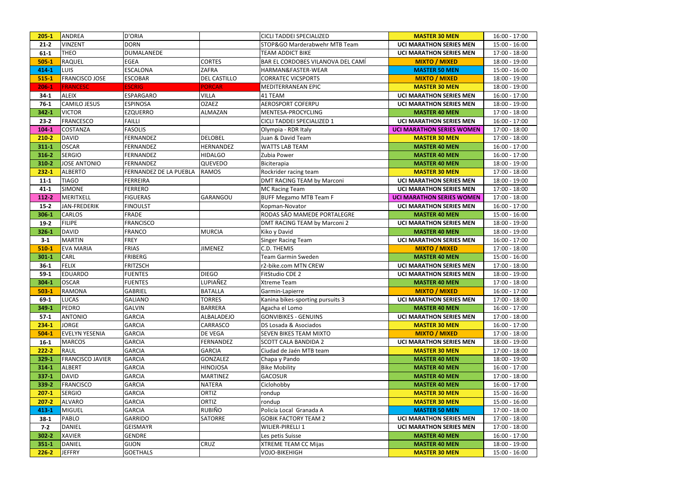| $205 - 1$ | ANDREA                  | <b>D'ORIA</b>          |                     | <b>CICLI TADDEI SPECIALIZED</b>   | <b>MASTER 30 MEN</b>             | 16:00 - 17:00   |
|-----------|-------------------------|------------------------|---------------------|-----------------------------------|----------------------------------|-----------------|
| $21-2$    | <b>VINZENT</b>          | <b>DORN</b>            |                     | STOP&GO Marderabwehr MTB Team     | <b>UCI MARATHON SERIES MEN</b>   | 15:00 - 16:00   |
| $61 - 1$  | <b>THEO</b>             | <b>DUMALANEDE</b>      |                     | <b>TEAM ADDICT BIKE</b>           | <b>UCI MARATHON SERIES MEN</b>   | 17:00 - 18:00   |
| $505 - 1$ | <b>RAQUEL</b>           | <b>EGEA</b>            | <b>CORTES</b>       | BAR EL CORDOBES VILANOVA DEL CAMÍ | <b>MIXTO / MIXED</b>             | 18:00 - 19:00   |
| 414-1     | <b>LUIS</b>             | <b>ESCALONA</b>        | ZAFRA               | HARMAN&FASTER-WEAR                | <b>MASTER 50 MEN</b>             | 15:00 - 16:00   |
| $515 - 1$ | <b>FRANCISCO JOSE</b>   | <b>ESCOBAR</b>         | <b>DEL CASTILLO</b> | <b>CORRATEC VICSPORTS</b>         | <b>MIXTO / MIXED</b>             | 18:00 - 19:00   |
| $206 - 1$ | <b>FRANCESC</b>         | <b>ESCRIG</b>          | <b>PORCAR</b>       | MEDITERRANEAN EPIC                | <b>MASTER 30 MEN</b>             | 18:00 - 19:00   |
| $34-1$    | <b>ALEIX</b>            | <b>ESPARGARO</b>       | <b>VILLA</b>        | 41 TEAM                           | <b>UCI MARATHON SERIES MEN</b>   | 16:00 - 17:00   |
| $76-1$    | <b>CAMILO JESUS</b>     | <b>ESPINOSA</b>        | <b>OZAEZ</b>        | <b>AEROSPORT COFERPU</b>          | <b>UCI MARATHON SERIES MEN</b>   | 18:00 - 19:00   |
| 342-1     | <b>VICTOR</b>           | <b>EZQUERRO</b>        | ALMAZAN             | MENTESA-PROCYCLING                | <b>MASTER 40 MEN</b>             | 17:00 - 18:00   |
| $23 - 2$  | FRANCESCO               | <b>FAILLI</b>          |                     | CICLI TADDEI SPECIALIZED 1        | <b>UCI MARATHON SERIES MEN</b>   | $16:00 - 17:00$ |
| $104 - 1$ | COSTANZA                | <b>FASOLIS</b>         |                     | Olympia - RDR Italy               | <b>UCI MARATHON SERIES WOMEN</b> | 17:00 - 18:00   |
| $210 - 2$ | <b>DAVID</b>            | <b>FERNANDEZ</b>       | <b>DELOBEL</b>      | Juan & David Team                 | <b>MASTER 30 MEN</b>             | 17:00 - 18:00   |
| $311 - 1$ | <b>OSCAR</b>            | FERNANDEZ              | <b>HERNANDEZ</b>    | <b>WATTS LAB TEAM</b>             | <b>MASTER 40 MEN</b>             | 16:00 - 17:00   |
| 316-2     | <b>SERGIO</b>           | FERNANDEZ              | <b>HIDALGO</b>      | Zubia Power                       | <b>MASTER 40 MEN</b>             | 16:00 - 17:00   |
| 310-2     | <b>JOSE ANTONIO</b>     | <b>FERNANDEZ</b>       | QUEVEDO             | Biciterapia                       | <b>MASTER 40 MEN</b>             | 18:00 - 19:00   |
| $232 - 1$ | <b>ALBERTO</b>          | FERNANDEZ DE LA PUEBLA | <b>RAMOS</b>        | Rockrider racing team             | <b>MASTER 30 MEN</b>             | 17:00 - 18:00   |
| $11 - 1$  | <b>TIAGO</b>            | <b>FERREIRA</b>        |                     | DMT RACING TEAM by Marconi        | <b>UCI MARATHON SERIES MEN</b>   | 18:00 - 19:00   |
| $41 - 1$  | <b>SIMONE</b>           | <b>FERRERO</b>         |                     | <b>MC Racing Team</b>             | <b>UCI MARATHON SERIES MEN</b>   | 17:00 - 18:00   |
| 112-2     | <b>MERITXELL</b>        | <b>FIGUERAS</b>        | <b>GARANGOU</b>     | <b>BUFF Megamo MTB Team F</b>     | <b>UCI MARATHON SERIES WOMEN</b> | 17:00 - 18:00   |
| $15 - 2$  | JAN-FREDERIK            | <b>FINOULST</b>        |                     | Kopman-Novator                    | <b>UCI MARATHON SERIES MEN</b>   | 16:00 - 17:00   |
| 306-1     | CARLOS                  | <b>FRADE</b>           |                     | RODAS SÃO MAMEDE PORTALEGRE       | <b>MASTER 40 MEN</b>             | 15:00 - 16:00   |
| $19-2$    | <b>FILIPE</b>           | <b>FRANCISCO</b>       |                     | DMT RACING TEAM by Marconi 2      | <b>UCI MARATHON SERIES MEN</b>   | 18:00 - 19:00   |
| 326-1     | <b>DAVID</b>            | <b>FRANCO</b>          | <b>MURCIA</b>       | Kiko y David                      | <b>MASTER 40 MEN</b>             | 18:00 - 19:00   |
| $3-1$     | MARTIN                  | <b>FREY</b>            |                     | <b>Singer Racing Team</b>         | <b>UCI MARATHON SERIES MEN</b>   | 16:00 - 17:00   |
| $510-1$   | <b>EVA MARIA</b>        | <b>FRIAS</b>           | <b>JIMENEZ</b>      | C.D. THEMIS                       | <b>MIXTO / MIXED</b>             | 17:00 - 18:00   |
| $301 - 1$ | <b>CARL</b>             | FRIBERG                |                     | Team Garmin Sweden                | <b>MASTER 40 MEN</b>             | 15:00 - 16:00   |
| $36-1$    | <b>FELIX</b>            | <b>FRITZSCH</b>        |                     | r2-bike.com MTN CREW              | <b>UCI MARATHON SERIES MEN</b>   | 17:00 - 18:00   |
| $59-1$    | <b>EDUARDO</b>          | <b>FUENTES</b>         | <b>DIEGO</b>        | FitStudio CDE 2                   | <b>UCI MARATHON SERIES MEN</b>   | 18:00 - 19:00   |
| $304 - 1$ | <b>OSCAR</b>            | <b>FUENTES</b>         | LUPIAÑEZ            | <b>Xtreme Team</b>                | <b>MASTER 40 MEN</b>             | 17:00 - 18:00   |
| $503-1$   | RAMONA                  | <b>GABRIEL</b>         | <b>BATALLA</b>      | Garmin-Lapierre                   | <b>MIXTO / MIXED</b>             | $16:00 - 17:00$ |
| $69-1$    | <b>LUCAS</b>            | <b>GALIANO</b>         | <b>TORRES</b>       | Kanina bikes-sporting pursuits 3  | <b>UCI MARATHON SERIES MEN</b>   | 17:00 - 18:00   |
| 349-1     | PEDRO                   | <b>GALVIN</b>          | <b>BARRERA</b>      | Agacha el Lomo                    | <b>MASTER 40 MEN</b>             | 16:00 - 17:00   |
| $57-1$    | <b>ANTONIO</b>          | <b>GARCIA</b>          | ALBALADEJO          | <b>GONVIBIKES - GENUINS</b>       | <b>UCI MARATHON SERIES MEN</b>   | 17:00 - 18:00   |
| $234 - 1$ | <b>JORGE</b>            | <b>GARCIA</b>          | CARRASCO            | DS Losada & Asociados             | <b>MASTER 30 MEN</b>             | 16:00 - 17:00   |
| $504-1$   | <b>EVELYN YESENIA</b>   | <b>GARCIA</b>          | DE VEGA             | SEVEN BIKES TEAM MIXTO            | <b>MIXTO / MIXED</b>             | 17:00 - 18:00   |
| $16 - 1$  | <b>MARCOS</b>           | <b>GARCIA</b>          | FERNANDEZ           | <b>SCOTT CALA BANDIDA 2</b>       | <b>UCI MARATHON SERIES MEN</b>   | 18:00 - 19:00   |
| $222 - 2$ | RAUL                    | <b>GARCIA</b>          | <b>GARCIA</b>       | Ciudad de Jaén MTB team           | <b>MASTER 30 MEN</b>             | 17:00 - 18:00   |
| 329-1     | <b>FRANCISCO JAVIER</b> | <b>GARCIA</b>          | <b>GONZALEZ</b>     | Chapa y Pando                     | <b>MASTER 40 MEN</b>             | 18:00 - 19:00   |
| $314 - 1$ | <b>ALBERT</b>           | <b>GARCIA</b>          | <b>HINOJOSA</b>     | <b>Bike Mobility</b>              | <b>MASTER 40 MEN</b>             | 16:00 - 17:00   |
| $337 - 1$ | <b>DAVID</b>            | <b>GARCIA</b>          | <b>MARTINEZ</b>     | <b>GACOSUR</b>                    | <b>MASTER 40 MEN</b>             | 17:00 - 18:00   |
| 339-2     | <b>FRANCISCO</b>        | <b>GARCIA</b>          | <b>NATERA</b>       | Ciclohobby                        | <b>MASTER 40 MEN</b>             | 16:00 - 17:00   |
| $207-1$   | <b>SERGIO</b>           | <b>GARCIA</b>          | <b>ORTIZ</b>        | rondup                            | <b>MASTER 30 MEN</b>             | 15:00 - 16:00   |
| $207 - 2$ | <b>ALVARO</b>           | <b>GARCIA</b>          | <b>ORTIZ</b>        | rondup                            | <b>MASTER 30 MEN</b>             | $15:00 - 16:00$ |
| 413-1     | <b>MIGUEL</b>           | <b>GARCIA</b>          | <b>RUBIÑO</b>       | Policía Local Granada A           | <b>MASTER 50 MEN</b>             | 17:00 - 18:00   |
| $38-1$    | PABLO                   | <b>GARRIDO</b>         | <b>SATORRE</b>      | <b>GOBIK FACTORY TEAM 2</b>       | <b>UCI MARATHON SERIES MEN</b>   | 17:00 - 18:00   |
| $7 - 2$   | DANIEL                  | <b>GEISMAYR</b>        |                     | WILIER-PIRELLI 1                  | <b>UCI MARATHON SERIES MEN</b>   | 17:00 - 18:00   |
| $302 - 2$ | <b>XAVIER</b>           | <b>GENDRE</b>          |                     | Les petis Suisse                  | <b>MASTER 40 MEN</b>             | 16:00 - 17:00   |
| $351 - 1$ | <b>DANIEL</b>           | <b>GIJON</b>           | <b>CRUZ</b>         | <b>XTREME TEAM CC Mijas</b>       | <b>MASTER 40 MEN</b>             | 18:00 - 19:00   |
| $226 - 2$ | <b>JEFFRY</b>           | <b>GOETHALS</b>        |                     | <b>VOJO-BIKEHIGH</b>              | <b>MASTER 30 MEN</b>             | 15:00 - 16:00   |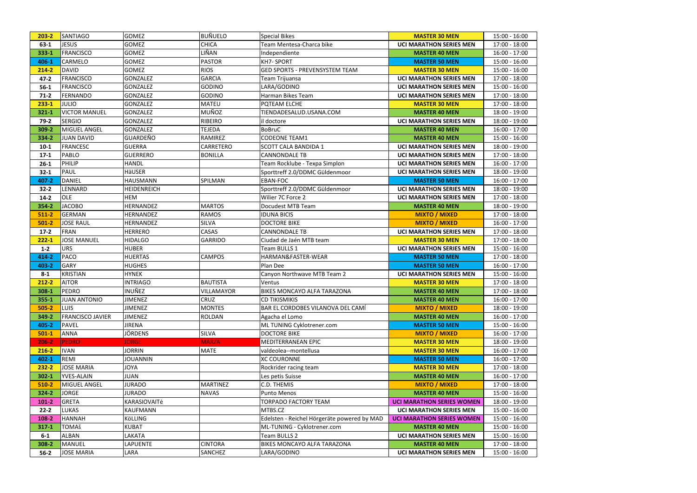| $203 - 2$ | SANTIAGO                | <b>GOMEZ</b>       | <b>BUÑUELO</b>  | <b>Special Bikes</b>                        | <b>MASTER 30 MEN</b>             | 15:00 - 16:00   |
|-----------|-------------------------|--------------------|-----------------|---------------------------------------------|----------------------------------|-----------------|
| $63-1$    | <b>JESUS</b>            | <b>GOMEZ</b>       | <b>CHICA</b>    | Team Mentesa-Charca bike                    | <b>UCI MARATHON SERIES MEN</b>   | 17:00 - 18:00   |
| 333-1     | FRANCISCO               | <b>GOMEZ</b>       | LIÑAN           | Independiente                               | <b>MASTER 40 MEN</b>             | 16:00 - 17:00   |
| 406-1     | <b>CARMELO</b>          | <b>GOMEZ</b>       | <b>PASTOR</b>   | <b>KH7-SPORT</b>                            | <b>MASTER 50 MEN</b>             | 15:00 - 16:00   |
| $214 - 2$ | DAVID                   | <b>GOMEZ</b>       | <b>RIOS</b>     | <b>GED SPORTS - PREVENSYSTEM TEAM</b>       | <b>MASTER 30 MEN</b>             | 15:00 - 16:00   |
| $47 - 2$  | FRANCISCO               | <b>GONZALEZ</b>    | <b>GARCIA</b>   | Team Trijuansa                              | <b>UCI MARATHON SERIES MEN</b>   | 17:00 - 18:00   |
| $56-1$    | FRANCISCO               | <b>GONZALEZ</b>    | <b>GODINO</b>   | LARA/GODINO                                 | <b>UCI MARATHON SERIES MEN</b>   | 15:00 - 16:00   |
| $71-2$    | <b>FERNANDO</b>         | <b>GONZALEZ</b>    | <b>GODINO</b>   | Harman Bikes Team                           | <b>UCI MARATHON SERIES MEN</b>   | 17:00 - 18:00   |
| $233 - 1$ | <b>JULIO</b>            | <b>GONZALEZ</b>    | <b>MATEU</b>    | PQTEAM ELCHE                                | <b>MASTER 30 MEN</b>             | 17:00 - 18:00   |
| $321 - 1$ | <b>VICTOR MANUEL</b>    | <b>GONZALEZ</b>    | MUÑOZ           | TIENDADESALUD.USANA.COM                     | <b>MASTER 40 MEN</b>             | 18:00 - 19:00   |
| $79-2$    | <b>SERGIO</b>           | <b>GONZALEZ</b>    | RIBEIRO         | il doctore                                  | <b>UCI MARATHON SERIES MEN</b>   | 18:00 - 19:00   |
| 309-2     | <b>MIGUEL ANGEL</b>     | <b>GONZALEZ</b>    | <b>TEJEDA</b>   | <b>BoBruC</b>                               | <b>MASTER 40 MEN</b>             | 16:00 - 17:00   |
| 334-2     | <b>JUAN DAVID</b>       | <b>GUARDEÑO</b>    | RAMIREZ         | <b>CODEONE TEAM1</b>                        | <b>MASTER 40 MEN</b>             | 15:00 - 16:00   |
| $10-1$    | <b>FRANCESC</b>         | <b>GUERRA</b>      | CARRETERO       | <b>SCOTT CALA BANDIDA 1</b>                 | <b>UCI MARATHON SERIES MEN</b>   | 18:00 - 19:00   |
| $17-1$    | <b>PABLO</b>            | <b>GUERRERO</b>    | <b>BONILLA</b>  | <b>CANNONDALE TB</b>                        | <b>UCI MARATHON SERIES MEN</b>   | 17:00 - 18:00   |
| $26 - 1$  | PHILIP                  | <b>HANDL</b>       |                 | Team Rocklube - Texpa Simplon               | <b>UCI MARATHON SERIES MEN</b>   | 16:00 - 17:00   |
| $32 - 1$  | PAUL                    | HäUSER             |                 | Sporttreff 2.0/DDMC Güldenmoor              | <b>UCI MARATHON SERIES MEN</b>   | 18:00 - 19:00   |
| 407-2     | <b>DANIEL</b>           | <b>HAUSMANN</b>    | SPILMAN         | EBAN-FOC                                    | <b>MASTER 50 MEN</b>             | 16:00 - 17:00   |
| $32 - 2$  | LENNARD                 | <b>HEIDENREICH</b> |                 | Sporttreff 2.0/DDMC Güldenmoor              | <b>UCI MARATHON SERIES MEN</b>   | 18:00 - 19:00   |
| $14 - 2$  | <b>OLE</b>              | HEM                |                 | Wilier 7C Force 2                           | <b>UCI MARATHON SERIES MEN</b>   | 17:00 - 18:00   |
| 354-2     | <b>JACOBO</b>           | HERNANDEZ          | <b>MARTOS</b>   | Docudest MTB Team                           | <b>MASTER 40 MEN</b>             | 18:00 - 19:00   |
| $511-2$   | <b>GERMAN</b>           | HERNANDEZ          | <b>RAMOS</b>    | <b>IDUNA BICIS</b>                          | <b>MIXTO / MIXED</b>             | 17:00 - 18:00   |
| $501 - 2$ | <b>JOSE RAUL</b>        | HERNANDEZ          | <b>SILVA</b>    | <b>DOCTORE BIKE</b>                         | <b>MIXTO / MIXED</b>             | 16:00 - 17:00   |
| $17-2$    | FRAN                    | <b>HERRERO</b>     | CASAS           | <b>CANNONDALE TB</b>                        | <b>UCI MARATHON SERIES MEN</b>   | 17:00 - 18:00   |
| $222 - 1$ | <b>JOSE MANUEL</b>      | <b>HIDALGO</b>     | <b>GARRIDO</b>  | Ciudad de Jaén MTB team                     | <b>MASTER 30 MEN</b>             | 17:00 - 18:00   |
| $1 - 2$   | <b>URS</b>              | <b>HUBER</b>       |                 | Team BULLS 1                                | <b>UCI MARATHON SERIES MEN</b>   | 15:00 - 16:00   |
| 414-2     | <b>PACO</b>             | <b>HUERTAS</b>     | <b>CAMPOS</b>   | HARMAN&FASTER-WEAR                          | <b>MASTER 50 MEN</b>             | 17:00 - 18:00   |
| 403-2     | <b>GARY</b>             | <b>HUGHES</b>      |                 | Plan Dee                                    | <b>MASTER 50 MEN</b>             | 16:00 - 17:00   |
| $8 - 1$   | <b>KRISTIAN</b>         | <b>HYNEK</b>       |                 | Canyon Northwave MTB Team 2                 | <b>UCI MARATHON SERIES MEN</b>   | 15:00 - 16:00   |
| 212-2     | <b>AITOR</b>            | <b>INTRIAGO</b>    | <b>BAUTISTA</b> | Ventus                                      | <b>MASTER 30 MEN</b>             | 17:00 - 18:00   |
| $308 - 1$ | PEDRO                   | INUÑEZ             | VILLAMAYOR      | <b>BIKES MONCAYO ALFA TARAZONA</b>          | <b>MASTER 40 MEN</b>             | 17:00 - 18:00   |
| 355-1     | <b>JUAN ANTONIO</b>     | <b>JIMENEZ</b>     | <b>CRUZ</b>     | <b>CD TIKISMIKIS</b>                        | <b>MASTER 40 MEN</b>             | 16:00 - 17:00   |
| $505 - 2$ | <b>LUIS</b>             | <b>JIMENEZ</b>     | <b>MONTES</b>   | BAR EL CORDOBES VILANOVA DEL CAMÍ           | <b>MIXTO / MIXED</b>             | 18:00 - 19:00   |
| 349-2     | <b>FRANCISCO JAVIER</b> | <b>JIMENEZ</b>     | ROLDAN          | Agacha el Lomo                              | <b>MASTER 40 MEN</b>             | 16:00 - 17:00   |
| 405-2     | PAVEL                   | <b>JIRENA</b>      |                 | ML TUNING Cyklotrener.com                   | <b>MASTER 50 MEN</b>             | 15:00 - 16:00   |
| $501-1$   | <b>ANNA</b>             | JÖRDENS            | <b>SILVA</b>    | <b>DOCTORE BIKE</b>                         | <b>MIXTO / MIXED</b>             | 16:00 - 17:00   |
| $206 - 2$ | <b>PEDRO</b>            | <b>JORGE</b>       | <b>MARZA</b>    | MEDITERRANEAN EPIC                          | <b>MASTER 30 MEN</b>             | 18:00 - 19:00   |
| $216 - 2$ | <b>IVAN</b>             | <b>JORRIN</b>      | <b>MATE</b>     | valdeolea--montellusa                       | <b>MASTER 30 MEN</b>             | 16:00 - 17:00   |
| 402-1     | REMI                    | <b>JOUANNIN</b>    |                 | <b>XC COURONNE</b>                          | <b>MASTER 50 MEN</b>             | 16:00 - 17:00   |
| $232 - 2$ | <b>JOSE MARIA</b>       | <b>JOYA</b>        |                 | Rockrider racing team                       | <b>MASTER 30 MEN</b>             | 17:00 - 18:00   |
| $302 - 1$ | <b>YVES-ALAIN</b>       | <b>JUAN</b>        |                 | Les petis Suisse                            | <b>MASTER 40 MEN</b>             | 16:00 - 17:00   |
| $510-2$   | <b>MIGUEL ANGEL</b>     | <b>JURADO</b>      | <b>MARTINEZ</b> | C.D. THEMIS                                 | <b>MIXTO / MIXED</b>             | 17:00 - 18:00   |
| $324 - 2$ | <b>JORGE</b>            | <b>JURADO</b>      | <b>NAVAS</b>    | Punto Menos                                 | <b>MASTER 40 MEN</b>             | 15:00 - 16:00   |
| $101 - 2$ | GRETA                   | KARASIOVAITė       |                 | TORPADO FACTORY TEAM                        | <b>UCI MARATHON SERIES WOMEN</b> | 18:00 - 19:00   |
| $22 - 2$  | <b>LUKAS</b>            | <b>KAUFMANN</b>    |                 | MTBS.CZ                                     | <b>UCI MARATHON SERIES MEN</b>   | 15:00 - 16:00   |
| 108-2     | <b>HANNAH</b>           | KöLLING            |                 | Edelsten - Reichel Hörgeräte powered by MAD | <b>UCI MARATHON SERIES WOMEN</b> | 15:00 - 16:00   |
| $317 - 1$ | <b>TOMAš</b>            | <b>KUBAT</b>       |                 | ML-TUNING - Cyklotrener.com                 | <b>MASTER 40 MEN</b>             | 15:00 - 16:00   |
| $6-1$     | <b>ALBAN</b>            | LAKATA             |                 | Team BULLS 2                                | <b>UCI MARATHON SERIES MEN</b>   | 15:00 - 16:00   |
| 308-2     | <b>MANUEL</b>           | LAPUENTE           | <b>CINTORA</b>  | BIKES MONCAYO ALFA TARAZONA                 | <b>MASTER 40 MEN</b>             | 17:00 - 18:00   |
| $56-2$    | <b>JOSE MARIA</b>       | LARA               | SANCHEZ         | LARA/GODINO                                 | <b>UCI MARATHON SERIES MEN</b>   | $15:00 - 16:00$ |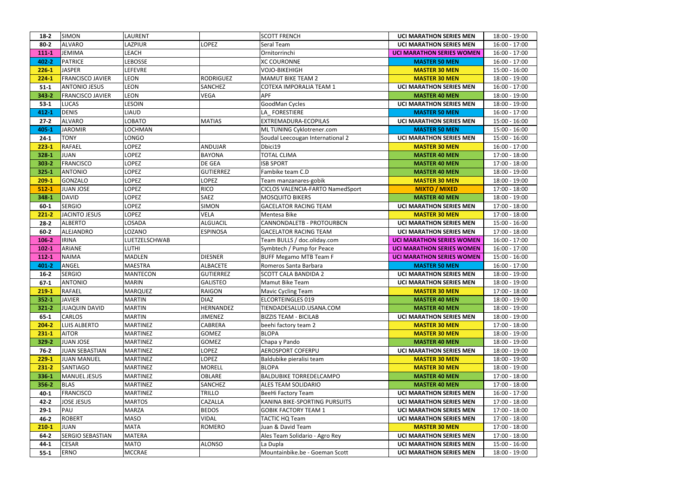| $18-2$    | <b>SIMON</b>            | LAURENT         |                  | <b>SCOTT FRENCH</b>              | <b>UCI MARATHON SERIES MEN</b>   | 18:00 - 19:00 |
|-----------|-------------------------|-----------------|------------------|----------------------------------|----------------------------------|---------------|
| $80 - 2$  | ALVARO                  | LAZPIUR         | LOPEZ            | Seral Team                       | <b>UCI MARATHON SERIES MEN</b>   | 16:00 - 17:00 |
| $111 - 1$ | <b>JEMIMA</b>           | LEACH           |                  | Ornitorrinchi                    | <b>UCI MARATHON SERIES WOMEN</b> | 16:00 - 17:00 |
| 402-2     | <b>PATRICE</b>          | <b>LEBOSSE</b>  |                  | <b>XC COURONNE</b>               | <b>MASTER 50 MEN</b>             | 16:00 - 17:00 |
| $226 - 1$ | <b>JASPER</b>           | LEFEVRE         |                  | <b>VOJO-BIKEHIGH</b>             | <b>MASTER 30 MEN</b>             | 15:00 - 16:00 |
| $224-1$   | <b>FRANCISCO JAVIER</b> | <b>LEON</b>     | <b>RODRIGUEZ</b> | <b>MAMUT BIKE TEAM 2</b>         | <b>MASTER 30 MEN</b>             | 18:00 - 19:00 |
| $51 - 1$  | <b>ANTONIO JESUS</b>    | <b>LEON</b>     | <b>SANCHEZ</b>   | COTEXA IMPORALIA TEAM 1          | <b>UCI MARATHON SERIES MEN</b>   | 16:00 - 17:00 |
| 343-2     | <b>FRANCISCO JAVIER</b> | <b>LEON</b>     | <b>VEGA</b>      | <b>APF</b>                       | <b>MASTER 40 MEN</b>             | 18:00 - 19:00 |
| $53-1$    | <b>LUCAS</b>            | <b>LESOIN</b>   |                  | GoodMan Cycles                   | <b>UCI MARATHON SERIES MEN</b>   | 18:00 - 19:00 |
| 412-1     | <b>DENIS</b>            | <b>LIAUD</b>    |                  | LA FORESTIERE                    | <b>MASTER 50 MEN</b>             | 16:00 - 17:00 |
| $27-2$    | <b>ALVARO</b>           | LOBATO          | <b>MATIAS</b>    | EXTREMADURA-ECOPILAS             | <b>UCI MARATHON SERIES MEN</b>   | 15:00 - 16:00 |
| 405-1     | <b>JAROMIR</b>          | LOCHMAN         |                  | ML TUNING Cyklotrener.com        | <b>MASTER 50 MEN</b>             | 15:00 - 16:00 |
| $24-1$    | <b>TONY</b>             | LONGO           |                  | Soudal Leecougan International 2 | <b>UCI MARATHON SERIES MEN</b>   | 15:00 - 16:00 |
| $223 - 1$ | <b>RAFAEL</b>           | <b>OPEZ</b>     | <b>ANDUJAR</b>   | Dbici19                          | <b>MASTER 30 MEN</b>             | 16:00 - 17:00 |
| 328-1     | <b>JUAN</b>             | <b>LOPEZ</b>    | <b>BAYONA</b>    | <b>TOTAL CLIMA</b>               | <b>MASTER 40 MEN</b>             | 17:00 - 18:00 |
| $303 - 2$ | <b>FRANCISCO</b>        | LOPEZ           | DE GEA           | <b>ISB SPORT</b>                 | <b>MASTER 40 MEN</b>             | 17:00 - 18:00 |
| $325 - 1$ | <b>ANTONIO</b>          | LOPEZ           | <b>GUTIERREZ</b> | Fambike team C.D                 | <b>MASTER 40 MEN</b>             | 18:00 - 19:00 |
| $209-1$   | GONZALO                 | LOPEZ           | LOPEZ            | Team manzanares-gobik            | <b>MASTER 30 MEN</b>             | 18:00 - 19:00 |
| $512 - 1$ | <b>JUAN JOSE</b>        | <b>LOPEZ</b>    | <b>RICO</b>      | CICLOS VALENCIA-FARTO NamedSport | <b>MIXTO / MIXED</b>             | 17:00 - 18:00 |
| 348-1     | <b>DAVID</b>            | <b>LOPEZ</b>    | SAEZ             | <b>MOSQUITO BIKERS</b>           | <b>MASTER 40 MEN</b>             | 18:00 - 19:00 |
| $60 - 1$  | <b>SERGIO</b>           | <b>LOPEZ</b>    | <b>SIMON</b>     | <b>GACELATOR RACING TEAM</b>     | <b>UCI MARATHON SERIES MEN</b>   | 17:00 - 18:00 |
| $221 - 2$ | <b>JACINTO JESUS</b>    | LOPEZ           | <b>VELA</b>      | Mentesa Bike                     | <b>MASTER 30 MEN</b>             | 17:00 - 18:00 |
| $28 - 2$  | <b>ALBERTO</b>          | LOSADA          | <b>ALGUACIL</b>  | CANNONDALETB - PROTOURBCN        | <b>UCI MARATHON SERIES MEN</b>   | 15:00 - 16:00 |
| $60 - 2$  | ALEJANDRO               | LOZANO          | <b>ESPINOSA</b>  | <b>GACELATOR RACING TEAM</b>     | <b>UCI MARATHON SERIES MEN</b>   | 17:00 - 18:00 |
| $106 - 2$ | <b>IRINA</b>            | LUETZELSCHWAB   |                  | Team BULLS / doc.oliday.com      | <b>UCI MARATHON SERIES WOMEN</b> | 16:00 - 17:00 |
| $102 - 1$ | <b>ARIANE</b>           | LUTHI           |                  | Symbtech / Pump for Peace        | <b>UCI MARATHON SERIES WOMEN</b> | 16:00 - 17:00 |
| $112 - 1$ | <b>NAIMA</b>            | <b>MADLEN</b>   | <b>DIESNER</b>   | <b>BUFF Megamo MTB Team F</b>    | <b>UCI MARATHON SERIES WOMEN</b> | 15:00 - 16:00 |
| $401 - 2$ | ANGEL                   | <b>MAESTRA</b>  | <b>ALBACETE</b>  | Romeros Santa Barbara            | <b>MASTER 50 MEN</b>             | 16:00 - 17:00 |
| $16 - 2$  | <b>SERGIO</b>           | <b>MANTECON</b> | <b>GUTIERREZ</b> | <b>SCOTT CALA BANDIDA 2</b>      | <b>UCI MARATHON SERIES MEN</b>   | 18:00 - 19:00 |
| $67-1$    | <b>ANTONIO</b>          | <b>MARIN</b>    | <b>GALISTEO</b>  | Mamut Bike Team                  | <b>UCI MARATHON SERIES MEN</b>   | 18:00 - 19:00 |
| $219-1$   | RAFAEL                  | <b>MARQUEZ</b>  | <b>RAIGON</b>    | <b>Mavic Cycling Team</b>        | <b>MASTER 30 MEN</b>             | 17:00 - 18:00 |
| $352 - 1$ | <b>JAVIER</b>           | <b>MARTIN</b>   | <b>DIAZ</b>      | <b>ELCORTEINGLES 019</b>         | <b>MASTER 40 MEN</b>             | 18:00 - 19:00 |
| $321 - 2$ | <b>JUAQUIN DAVID</b>    | <b>MARTIN</b>   | HERNANDEZ        | TIENDADESALUD.USANA.COM          | <b>MASTER 40 MEN</b>             | 18:00 - 19:00 |
| $65 - 1$  | <b>CARLOS</b>           | <b>MARTIN</b>   | <b>JIMENEZ</b>   | <b>BIZZIS TEAM - BICILAB</b>     | <b>UCI MARATHON SERIES MEN</b>   | 18:00 - 19:00 |
| $204 - 2$ | <b>LUIS ALBERTO</b>     | <b>MARTINEZ</b> | CABRERA          | beehi factory team 2             | <b>MASTER 30 MEN</b>             | 17:00 - 18:00 |
| $231 - 1$ | AITOR                   | <b>MARTINEZ</b> | GOMEZ            | <b>BLOPA</b>                     | <b>MASTER 30 MEN</b>             | 18:00 - 19:00 |
| 329-2     | JUAN JOSE               | <b>MARTINEZ</b> | <b>GOMEZ</b>     | Chapa y Pando                    | <b>MASTER 40 MEN</b>             | 18:00 - 19:00 |
| $76 - 2$  | JUAN SEBASTIAN          | <b>MARTINEZ</b> | LOPEZ            | <b>AEROSPORT COFERPU</b>         | <b>UCI MARATHON SERIES MEN</b>   | 18:00 - 19:00 |
| $229-1$   | <b>JUAN MANUEL</b>      | <b>MARTINEZ</b> | LOPEZ            | Baldubike pieralisi team         | <b>MASTER 30 MEN</b>             | 18:00 - 19:00 |
| $231 - 2$ | <b>SANTIAGO</b>         | <b>MARTINEZ</b> | <b>MORELL</b>    | <b>BLOPA</b>                     | <b>MASTER 30 MEN</b>             | 18:00 - 19:00 |
| 336-1     | <b>MANUEL JESUS</b>     | <b>MARTINEZ</b> | <b>OBLARE</b>    | <b>BALDUBIKE TORREDELCAMPO</b>   | <b>MASTER 40 MEN</b>             | 17:00 - 18:00 |
| 356-2     | <b>BLAS</b>             | <b>MARTINEZ</b> | SANCHEZ          | ALES TEAM SOLIDARIO              | <b>MASTER 40 MEN</b>             | 17:00 - 18:00 |
| $40 - 1$  | FRANCISCO               | <b>MARTINEZ</b> | TRILLO           | <b>BeeHi Factory Team</b>        | <b>UCI MARATHON SERIES MEN</b>   | 16:00 - 17:00 |
| $42 - 2$  | <b>JOSE JESUS</b>       | <b>MARTOS</b>   | CAZALLA          | KANINA BIKE-SPORTING PURSUITS    | <b>UCI MARATHON SERIES MEN</b>   | 17:00 - 18:00 |
| $29-1$    | PAU                     | <b>MARZA</b>    | <b>BEDOS</b>     | <b>GOBIK FACTORY TEAM 1</b>      | <b>UCI MARATHON SERIES MEN</b>   | 17:00 - 18:00 |
| $46 - 2$  | <b>ROBERT</b>           | <b>MASO</b>     | <b>VIDAL</b>     | TACTIC HQ Team                   | <b>UCI MARATHON SERIES MEN</b>   | 17:00 - 18:00 |
| $210-1$   | <b>JUAN</b>             | <b>MATA</b>     | <b>ROMERO</b>    | Juan & David Team                | <b>MASTER 30 MEN</b>             | 17:00 - 18:00 |
| $64 - 2$  | <b>SERGIO SEBASTIAN</b> | <b>MATERA</b>   |                  | Ales Team Solidario - Agro Rey   | <b>UCI MARATHON SERIES MEN</b>   | 17:00 - 18:00 |
| $44 - 1$  | <b>CESAR</b>            | <b>MATO</b>     | <b>ALONSO</b>    | La Dupla                         | <b>UCI MARATHON SERIES MEN</b>   | 15:00 - 16:00 |
| $55 - 1$  | <b>ERNO</b>             | <b>MCCRAE</b>   |                  | Mountainbike.be - Goeman Scott   | <b>UCI MARATHON SERIES MEN</b>   | 18:00 - 19:00 |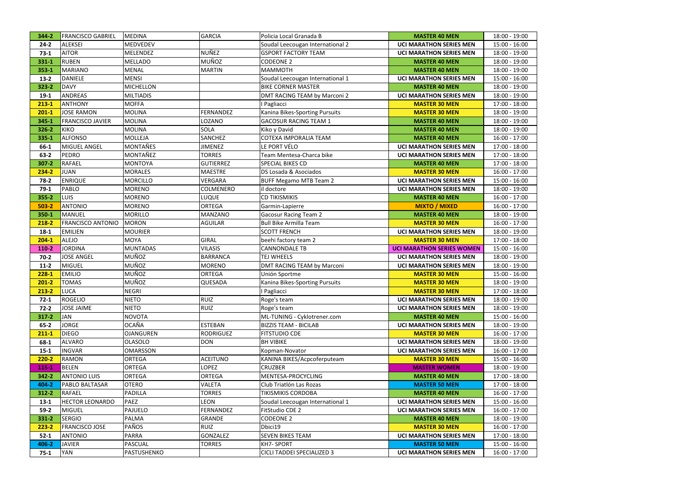| 344-2     | <b>FRANCISCO GABRIEL</b> | <b>MEDINA</b>    | <b>GARCIA</b>    | Policia Local Granada B          | <b>MASTER 40 MEN</b>             | 18:00 - 19:00   |
|-----------|--------------------------|------------------|------------------|----------------------------------|----------------------------------|-----------------|
| $24 - 2$  | ALEKSEI                  | MEDVEDEV         |                  | Soudal Leecougan International 2 | <b>UCI MARATHON SERIES MEN</b>   | 15:00 - 16:00   |
| $73-1$    | <b>AITOR</b>             | <b>MELENDEZ</b>  | NUÑEZ            | <b>GSPORT FACTORY TEAM</b>       | <b>UCI MARATHON SERIES MEN</b>   | 18:00 - 19:00   |
| 331-1     | <b>RUBEN</b>             | <b>MELLADO</b>   | MUÑOZ            | <b>CODEONE 2</b>                 | <b>MASTER 40 MEN</b>             | 18:00 - 19:00   |
| $353 - 1$ | MARIANO                  | <b>MENAL</b>     | <b>MARTIN</b>    | <b>MAMMOTH</b>                   | <b>MASTER 40 MEN</b>             | 18:00 - 19:00   |
| $13-2$    | DANIELE                  | <b>MENSI</b>     |                  | Soudal Leecougan International 1 | <b>UCI MARATHON SERIES MEN</b>   | 15:00 - 16:00   |
| $323 - 2$ | DAVY                     | <b>MICHELLON</b> |                  | <b>BIKE CORNER MASTER</b>        | <b>MASTER 40 MEN</b>             | 18:00 - 19:00   |
| $19-1$    | <b>ANDREAS</b>           | <b>MILTIADIS</b> |                  | DMT RACING TEAM by Marconi 2     | <b>UCI MARATHON SERIES MEN</b>   | 18:00 - 19:00   |
| $213 - 1$ | <b>ANTHONY</b>           | <b>MOFFA</b>     |                  | I Pagliacci                      | <b>MASTER 30 MEN</b>             | 17:00 - 18:00   |
| $201 - 1$ | <b>JOSE RAMON</b>        | <b>MOLINA</b>    | <b>FERNANDEZ</b> | Kanina Bikes-Sporting Pursuits   | <b>MASTER 30 MEN</b>             | 18:00 - 19:00   |
| 345-1     | <b>FRANCISCO JAVIER</b>  | <b>MOLINA</b>    | LOZANO           | <b>GACOSUR RACING TEAM 1</b>     | <b>MASTER 40 MEN</b>             | 18:00 - 19:00   |
| 326-2     | KIKO                     | <b>MOLINA</b>    | SOLA             | Kiko y David                     | <b>MASTER 40 MEN</b>             | 18:00 - 19:00   |
| 335-1     | <b>ALFONSO</b>           | <b>MOLLEJA</b>   | SANCHEZ          | COTEXA IMPORALIA TEAM            | <b>MASTER 40 MEN</b>             | 16:00 - 17:00   |
| 66-1      | MIGUEL ANGEL             | <b>MONTAÑES</b>  | <b>JIMENEZ</b>   | LE PORT VÉLO                     | <b>UCI MARATHON SERIES MEN</b>   | 17:00 - 18:00   |
| $63 - 2$  | PEDRO                    | MONTAÑEZ         | <b>TORRES</b>    | Team Mentesa-Charca bike         | <b>UCI MARATHON SERIES MEN</b>   | 17:00 - 18:00   |
| 307-2     | RAFAEL                   | <b>MONTOYA</b>   | <b>GUTIERREZ</b> | SPECIAL BIKES CD                 | <b>MASTER 40 MEN</b>             | 17:00 - 18:00   |
| 234-2     | <b>JUAN</b>              | <b>MORALES</b>   | <b>MAESTRE</b>   | DS Losada & Asociados            | <b>MASTER 30 MEN</b>             | 16:00 - 17:00   |
| $78-2$    | <b>ENRIQUE</b>           | <b>MORCILLO</b>  | <b>VERGARA</b>   | <b>BUFF Megamo MTB Team 2</b>    | <b>UCI MARATHON SERIES MEN</b>   | 15:00 - 16:00   |
| $79-1$    | PABLO                    | <b>MORENO</b>    | COLMENERO        | il doctore                       | <b>UCI MARATHON SERIES MEN</b>   | 18:00 - 19:00   |
| 355-2     | <b>LUIS</b>              | <b>MORENO</b>    | <b>LUQUE</b>     | <b>CD TIKISMIKIS</b>             | <b>MASTER 40 MEN</b>             | 16:00 - 17:00   |
| $503 - 2$ | <b>ANTONIO</b>           | <b>MORENO</b>    | <b>ORTEGA</b>    | Garmin-Lapierre                  | <b>MIXTO / MIXED</b>             | 16:00 - 17:00   |
| 350-1     | MANUEL                   | <b>MORILLO</b>   | <b>MANZANO</b>   | <b>Gacosur Racing Team 2</b>     | <b>MASTER 40 MEN</b>             | 18:00 - 19:00   |
| 218-2     | <b>FRANCISCO ANTONIO</b> | <b>MORON</b>     | <b>AGUILAR</b>   | <b>Bull Bike Armilla Team</b>    | <b>MASTER 30 MEN</b>             | 16:00 - 17:00   |
| $18-1$    | <b>EMILIEN</b>           | <b>MOURIER</b>   |                  | <b>SCOTT FRENCH</b>              | <b>UCI MARATHON SERIES MEN</b>   | 18:00 - 19:00   |
| $204 - 1$ | ALEJO                    | <b>MOYA</b>      | <b>GIRAL</b>     | beehi factory team 2             | <b>MASTER 30 MEN</b>             | 17:00 - 18:00   |
| 110-2     | <b>JORDINA</b>           | <b>MUNTADAS</b>  | <b>VILASIS</b>   | <b>CANNONDALE TB</b>             | <b>UCI MARATHON SERIES WOMEN</b> | 15:00 - 16:00   |
| $70-2$    | <b>JOSE ANGEL</b>        | MUÑOZ            | <b>BARRANCA</b>  | <b>TEJ WHEELS</b>                | <b>UCI MARATHON SERIES MEN</b>   | 18:00 - 19:00   |
| $11-2$    | MIGUEL                   | <b>MUÑOZ</b>     | <b>MORENO</b>    | DMT RACING TEAM by Marconi       | <b>UCI MARATHON SERIES MEN</b>   | 18:00 - 19:00   |
| $228 - 1$ | <b>EMILIO</b>            | <b>MUÑOZ</b>     | <b>ORTEGA</b>    | Unión Sportme                    | <b>MASTER 30 MEN</b>             | 15:00 - 16:00   |
| $201 - 2$ | <b>TOMAS</b>             | <b>MUÑOZ</b>     | QUESADA          | Kanina Bikes-Sporting Pursuits   | <b>MASTER 30 MEN</b>             | 18:00 - 19:00   |
| $213 - 2$ | <b>LUCA</b>              | <b>NEGRI</b>     |                  | I Pagliacci                      | <b>MASTER 30 MEN</b>             | 17:00 - 18:00   |
| $72-1$    | <b>ROGELIO</b>           | <b>NIETO</b>     | <b>RUIZ</b>      | Roge's team                      | <b>UCI MARATHON SERIES MEN</b>   | 18:00 - 19:00   |
| $72-2$    | <b>JOSE JAIME</b>        | <b>NIETO</b>     | <b>RUIZ</b>      | Roge's team                      | <b>UCI MARATHON SERIES MEN</b>   | 18:00 - 19:00   |
| $317 - 2$ | JAN                      | <b>NOVOTA</b>    |                  | ML-TUNING - Cyklotrener.com      | <b>MASTER 40 MEN</b>             | 15:00 - 16:00   |
| $65 - 2$  | <b>JORGE</b>             | <b>OCAÑA</b>     | <b>ESTEBAN</b>   | <b>BIZZIS TEAM - BICILAB</b>     | <b>UCI MARATHON SERIES MEN</b>   | 18:00 - 19:00   |
| $211 - 1$ | <b>DIEGO</b>             | <b>OJANGUREN</b> | <b>RODRIGUEZ</b> | <b>FITSTUDIO CDE</b>             | <b>MASTER 30 MEN</b>             | 16:00 - 17:00   |
| $68-1$    | <b>ALVARO</b>            | <b>OLASOLO</b>   | <b>DON</b>       | <b>BH VIBIKE</b>                 | <b>UCI MARATHON SERIES MEN</b>   | 18:00 - 19:00   |
| $15 - 1$  | <b>INGVAR</b>            | <b>OMARSSON</b>  |                  | Kopman-Novator                   | <b>UCI MARATHON SERIES MEN</b>   | 16:00 - 17:00   |
| $220 - 2$ | RAMON                    | ORTEGA           | <b>ACEITUNO</b>  | KANINA BIKES/Acpcoferputeam      | <b>MASTER 30 MEN</b>             | 15:00 - 16:00   |
| 115-1     | <b>BELEN</b>             | <b>ORTEGA</b>    | <b>LOPEZ</b>     | <b>CRUZBER</b>                   | <b>MASTER WOMEN</b>              | 18:00 - 19:00   |
| $342 - 2$ | <b>ANTONIO LUIS</b>      | <b>ORTEGA</b>    | <b>ORTEGA</b>    | MENTESA-PROCYCLING               | <b>MASTER 40 MEN</b>             | 17:00 - 18:00   |
| 404-2     | PABLO BALTASAR           | <b>OTERO</b>     | <b>VALETA</b>    | Club Triatlón Las Rozas          | <b>MASTER 50 MEN</b>             | 17:00 - 18:00   |
| $312 - 2$ | RAFAEL                   | PADILLA          | <b>TORRES</b>    | TIKISMIKIS CORDOBA               | <b>MASTER 40 MEN</b>             | $16:00 - 17:00$ |
| $13 - 1$  | <b>HECTOR LEONARDO</b>   | <b>PAEZ</b>      | <b>LEON</b>      | Soudal Leecougan International 1 | <b>UCI MARATHON SERIES MEN</b>   | 15:00 - 16:00   |
| $59-2$    | MIGUEL                   | PAJUELO          | <b>FERNANDEZ</b> | FitStudio CDE 2                  | <b>UCI MARATHON SERIES MEN</b>   | 16:00 - 17:00   |
| 331-2     | SERGIO                   | <b>PALMA</b>     | <b>GRANDE</b>    | <b>CODEONE 2</b>                 | <b>MASTER 40 MEN</b>             | 18:00 - 19:00   |
| $223 - 2$ | <b>FRANCISCO JOSE</b>    | PAÑOS            | <b>RUIZ</b>      | Dbici19                          | <b>MASTER 30 MEN</b>             | 16:00 - 17:00   |
| $52 - 1$  | <b>ANTONIO</b>           | <b>PARRA</b>     | <b>GONZALEZ</b>  | <b>SEVEN BIKES TEAM</b>          | <b>UCI MARATHON SERIES MEN</b>   | 17:00 - 18:00   |
| 406-2     | <b>JAVIER</b>            | <b>PASCUAL</b>   | <b>TORRES</b>    | KH7-SPORT                        | <b>MASTER 50 MEN</b>             | 15:00 - 16:00   |
|           |                          |                  |                  |                                  |                                  |                 |
| $75-1$    | <b>YAN</b>               | PASTUSHENKO      |                  | CICLI TADDEI SPECIALIZED 3       | <b>UCI MARATHON SERIES MEN</b>   | 16:00 - 17:00   |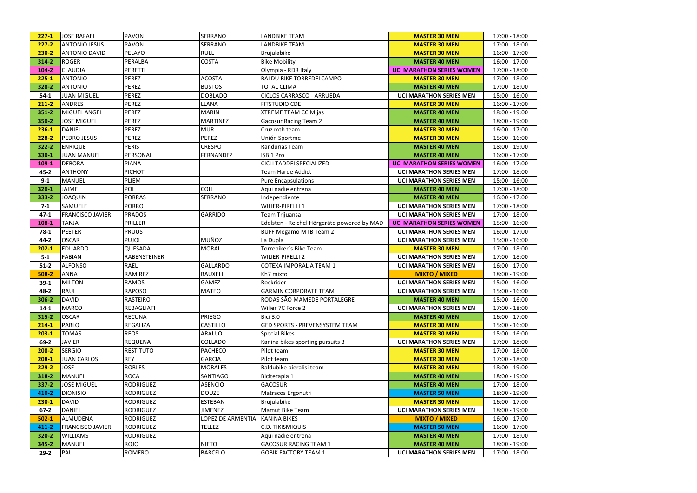| $227-1$   | <b>JOSE RAFAEL</b>      | PAVON               | <b>SERRANO</b>    | <b>LANDBIKE TEAM</b>                        | <b>MASTER 30 MEN</b>             | 17:00 - 18:00   |
|-----------|-------------------------|---------------------|-------------------|---------------------------------------------|----------------------------------|-----------------|
| $227 - 2$ | <b>ANTONIO JESUS</b>    | <b>PAVON</b>        | SERRANO           | <b>LANDBIKE TEAM</b>                        | <b>MASTER 30 MEN</b>             | 17:00 - 18:00   |
| $230 - 2$ | <b>ANTONIO DAVID</b>    | PELAYO              | <b>RULL</b>       | <b>Brujulabike</b>                          | <b>MASTER 30 MEN</b>             | 16:00 - 17:00   |
| 314-2     | <b>ROGER</b>            | PERALBA             | <b>COSTA</b>      | <b>Bike Mobility</b>                        | <b>MASTER 40 MEN</b>             | 16:00 - 17:00   |
| $104 - 2$ | <b>CLAUDIA</b>          | PERETTI             |                   | Olympia - RDR Italy                         | <b>UCI MARATHON SERIES WOMEN</b> | 17:00 - 18:00   |
| $225 - 1$ | <b>ANTONIO</b>          | <b>PEREZ</b>        | <b>ACOSTA</b>     | <b>BALDU BIKE TORREDELCAMPO</b>             | <b>MASTER 30 MEN</b>             | 17:00 - 18:00   |
| 328-2     | <b>ANTONIO</b>          | <b>PEREZ</b>        | <b>BUSTOS</b>     | <b>TOTAL CLIMA</b>                          | <b>MASTER 40 MEN</b>             | 17:00 - 18:00   |
| $54-1$    | <b>JUAN MIGUEL</b>      | <b>PEREZ</b>        | <b>DOBLADO</b>    | CICLOS CARRASCO - ARRUEDA                   | <b>UCI MARATHON SERIES MEN</b>   | 15:00 - 16:00   |
| $211 - 2$ | <b>ANDRES</b>           | <b>PEREZ</b>        | LLANA             | <b>FITSTUDIO CDE</b>                        | <b>MASTER 30 MEN</b>             | 16:00 - 17:00   |
| $351 - 2$ | <b>MIGUEL ANGEL</b>     | <b>PEREZ</b>        | <b>MARIN</b>      | <b>XTREME TEAM CC Mijas</b>                 | <b>MASTER 40 MEN</b>             | 18:00 - 19:00   |
| 350-2     | <b>JOSE MIGUEL</b>      | <b>PEREZ</b>        | <b>MARTINEZ</b>   | <b>Gacosur Racing Team 2</b>                | <b>MASTER 40 MEN</b>             | 18:00 - 19:00   |
| $236 - 1$ | <b>DANIEL</b>           | <b>PEREZ</b>        | <b>MUR</b>        | Cruz mtb team                               | <b>MASTER 30 MEN</b>             | 16:00 - 17:00   |
| 228-2     | <b>PEDRO JESUS</b>      | <b>PEREZ</b>        | PEREZ             | Unión Sportme                               | <b>MASTER 30 MEN</b>             | 15:00 - 16:00   |
| $322 - 2$ | <b>ENRIQUE</b>          | <b>PERIS</b>        | <b>CRESPO</b>     | Randurias Team                              | <b>MASTER 40 MEN</b>             | 18:00 - 19:00   |
| 330-1     | <b>JUAN MANUEL</b>      | PERSONAL            | <b>FERNANDEZ</b>  | ISB 1 Pro                                   | <b>MASTER 40 MEN</b>             | 16:00 - 17:00   |
| 109-1     | <b>DEBORA</b>           | <b>PIANA</b>        |                   | CICLI TADDEI SPECIALIZED                    | <b>UCI MARATHON SERIES WOMEN</b> | 16:00 - 17:00   |
| $45 - 2$  | <b>ANTHONY</b>          | <b>PICHOT</b>       |                   | Team Harde Addict                           | <b>UCI MARATHON SERIES MEN</b>   | 17:00 - 18:00   |
| $9 - 1$   | <b>MANUEL</b>           | PLIEM               |                   | <b>Pure Encapsulations</b>                  | <b>UCI MARATHON SERIES MEN</b>   | 15:00 - 16:00   |
| 320-1     | <b>JAIME</b>            | <b>POL</b>          | COLL              | Aqui nadie entrena                          | <b>MASTER 40 MEN</b>             | 17:00 - 18:00   |
| 333-2     | <b>JOAQUIN</b>          | <b>PORRAS</b>       | SERRANO           | Independiente                               | <b>MASTER 40 MEN</b>             | 16:00 - 17:00   |
| $7-1$     | SAMUELE                 | <b>PORRO</b>        |                   | <b>WILIER-PIRELLI 1</b>                     | <b>UCI MARATHON SERIES MEN</b>   | 17:00 - 18:00   |
| $47 - 1$  | <b>FRANCISCO JAVIER</b> | <b>PRADOS</b>       | <b>GARRIDO</b>    | Team Trijuansa                              | <b>UCI MARATHON SERIES MEN</b>   | 17:00 - 18:00   |
| 108-1     | <b>TANJA</b>            | <b>PRILLER</b>      |                   | Edelsten - Reichel Hörgeräte powered by MAD | <b>UCI MARATHON SERIES WOMEN</b> | 15:00 - 16:00   |
| $78-1$    | <b>PEETER</b>           | <b>PRUUS</b>        |                   | <b>BUFF Megamo MTB Team 2</b>               | <b>UCI MARATHON SERIES MEN</b>   | 16:00 - 17:00   |
| $44 - 2$  | <b>OSCAR</b>            | <b>PUJOL</b>        | MUÑOZ             | La Dupla                                    | <b>UCI MARATHON SERIES MEN</b>   | 15:00 - 16:00   |
| $202 - 1$ | <b>EDUARDO</b>          | QUESADA             | <b>MORAL</b>      | Torrebiker's Bike Team                      | <b>MASTER 30 MEN</b>             | 17:00 - 18:00   |
| $5 - 1$   | <b>FABIAN</b>           | <b>RABENSTEINER</b> |                   | <b>WILIER-PIRELLI 2</b>                     | <b>UCI MARATHON SERIES MEN</b>   | 17:00 - 18:00   |
| $51-2$    | <b>ALFONSO</b>          | <b>RAEL</b>         | <b>GALLARDO</b>   | COTEXA IMPORALIA TEAM 1                     | <b>UCI MARATHON SERIES MEN</b>   | 16:00 - 17:00   |
| 508-2     | <b>ANNA</b>             | <b>RAMIREZ</b>      | <b>BAUXELL</b>    | Kh7 mixto                                   | <b>MIXTO / MIXED</b>             | 18:00 - 19:00   |
| $39-1$    | <b>MILTON</b>           | <b>RAMOS</b>        | <b>GAMEZ</b>      | Rockrider                                   | <b>UCI MARATHON SERIES MEN</b>   | 15:00 - 16:00   |
| 48-2      | RAUL                    | RAPOSO              | <b>MATEO</b>      | <b>GARMIN CORPORATE TEAM</b>                | <b>UCI MARATHON SERIES MEN</b>   | 15:00 - 16:00   |
| 306-2     | <b>DAVID</b>            | <b>RASTEIRO</b>     |                   | RODAS SÃO MAMEDE PORTALEGRE                 | <b>MASTER 40 MEN</b>             | $15:00 - 16:00$ |
| $14-1$    | <b>MARCO</b>            | REBAGLIATI          |                   | Wilier 7C Force 2                           | <b>UCI MARATHON SERIES MEN</b>   | 17:00 - 18:00   |
| $315 - 2$ | <b>OSCAR</b>            | <b>RECUNA</b>       | <b>PRIEGO</b>     | <b>Bici 3.0</b>                             | <b>MASTER 40 MEN</b>             | 16:00 - 17:00   |
| $214 - 1$ | <b>PABLO</b>            | <b>REGALIZA</b>     | <b>CASTILLO</b>   | <b>GED SPORTS - PREVENSYSTEM TEAM</b>       | <b>MASTER 30 MEN</b>             | 15:00 - 16:00   |
| $203 - 1$ | <b>TOMAS</b>            | <b>REOS</b>         | <b>ARAUJO</b>     | <b>Special Bikes</b>                        | <b>MASTER 30 MEN</b>             | 15:00 - 16:00   |
| $69-2$    | <b>JAVIER</b>           | <b>REQUENA</b>      | COLLADO           | Kanina bikes-sporting pursuits 3            | <b>UCI MARATHON SERIES MEN</b>   | 17:00 - 18:00   |
| $208 - 2$ | <b>SERGIO</b>           | <b>RESTITUTO</b>    | <b>PACHECO</b>    | Pilot team                                  | <b>MASTER 30 MEN</b>             | 17:00 - 18:00   |
| $208-1$   | <b>JUAN CARLOS</b>      | <b>REY</b>          | <b>GARCIA</b>     | Pilot team                                  | <b>MASTER 30 MEN</b>             | 17:00 - 18:00   |
| $229 - 2$ | <b>JOSE</b>             | <b>ROBLES</b>       | <b>MORALES</b>    | Baldubike pieralisi team                    | <b>MASTER 30 MEN</b>             | 18:00 - 19:00   |
| 318-2     | <b>MANUEL</b>           | <b>ROCA</b>         | SANTIAGO          | Biciterapia 1                               | <b>MASTER 40 MEN</b>             | 18:00 - 19:00   |
| $337 - 2$ | <b>JOSE MIGUEL</b>      | <b>RODRIGUEZ</b>    | <b>ASENCIO</b>    | <b>GACOSUR</b>                              | <b>MASTER 40 MEN</b>             | 17:00 - 18:00   |
| 410-2     | <b>DIONISIO</b>         | <b>RODRIGUEZ</b>    | <b>DOUZE</b>      | Matracos Ergonutri                          | <b>MASTER 50 MEN</b>             | 18:00 - 19:00   |
| $230 - 1$ | <b>DAVID</b>            | <b>RODRIGUEZ</b>    | <b>ESTEBAN</b>    | <b>Brujulabike</b>                          | <b>MASTER 30 MEN</b>             | 16:00 - 17:00   |
| $67-2$    | <b>DANIEL</b>           | <b>RODRIGUEZ</b>    | <b>JIMENEZ</b>    | Mamut Bike Team                             | <b>UCI MARATHON SERIES MEN</b>   | 18:00 - 19:00   |
| $502 - 1$ | ALMUDENA                | <b>RODRIGUEZ</b>    | LOPEZ DE ARMENTIA | <b>KANINA BIKES</b>                         | <b>MIXTO / MIXED</b>             | 16:00 - 17:00   |
| $411 - 2$ | <b>FRANCISCO JAVIER</b> | <b>RODRIGUEZ</b>    | <b>TELLEZ</b>     | <b>C.D. TIKISMIQUIS</b>                     | <b>MASTER 50 MEN</b>             | 16:00 - 17:00   |
| 320-2     | <b>WILLIAMS</b>         | <b>RODRIGUEZ</b>    |                   | Aqui nadie entrena                          | <b>MASTER 40 MEN</b>             | 17:00 - 18:00   |
| 345-2     | <b>MANUEL</b>           | <b>ROJO</b>         | <b>NIETO</b>      | <b>GACOSUR RACING TEAM 1</b>                | <b>MASTER 40 MEN</b>             | 18:00 - 19:00   |
| $29-2$    | PAU                     | <b>ROMERO</b>       | <b>BARCELO</b>    | <b>GOBIK FACTORY TEAM 1</b>                 | <b>UCI MARATHON SERIES MEN</b>   | 17:00 - 18:00   |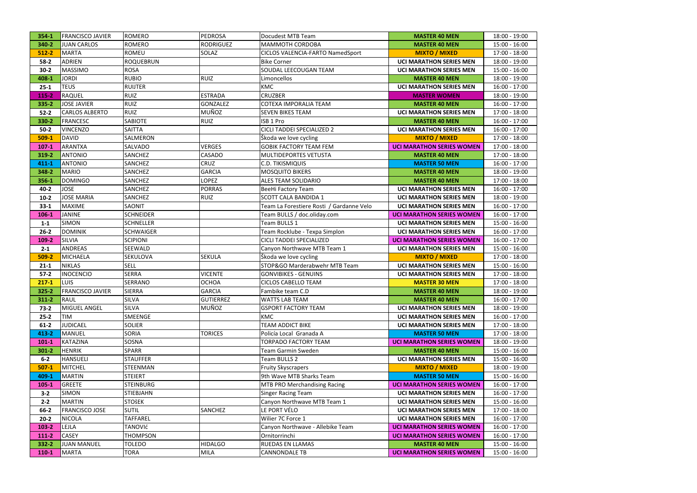| 354-1     | <b>FRANCISCO JAVIER</b> | <b>ROMERO</b>    | <b>PEDROSA</b>   | Docudest MTB Team                        | <b>MASTER 40 MEN</b>             | 18:00 - 19:00   |
|-----------|-------------------------|------------------|------------------|------------------------------------------|----------------------------------|-----------------|
| 340-2     | <b>JUAN CARLOS</b>      | <b>ROMERO</b>    | <b>RODRIGUEZ</b> | <b>MAMMOTH CORDOBA</b>                   | <b>MASTER 40 MEN</b>             | 15:00 - 16:00   |
| $512 - 2$ | MARTA                   | <b>ROMEU</b>     | SOLAZ            | CICLOS VALENCIA-FARTO NamedSport         | <b>MIXTO / MIXED</b>             | 17:00 - 18:00   |
| $58-2$    | <b>ADRIEN</b>           | <b>ROQUEBRUN</b> |                  | <b>Bike Corner</b>                       | <b>UCI MARATHON SERIES MEN</b>   | 18:00 - 19:00   |
| $30-2$    | <b>MASSIMO</b>          | <b>ROSA</b>      |                  | SOUDAL LEECOUGAN TEAM                    | <b>UCI MARATHON SERIES MEN</b>   | 15:00 - 16:00   |
| 408-1     | <b>JORDI</b>            | <b>RUBIO</b>     | <b>RUIZ</b>      | Limoncellos                              | <b>MASTER 40 MEN</b>             | 18:00 - 19:00   |
| $25 - 1$  | <b>TEUS</b>             | <b>RUIJTER</b>   |                  | <b>KMC</b>                               | <b>UCI MARATHON SERIES MEN</b>   | 16:00 - 17:00   |
| 115-2     | <b>RAQUEL</b>           | <b>RUIZ</b>      | <b>ESTRADA</b>   | <b>CRUZBER</b>                           | <b>MASTER WOMEN</b>              | 18:00 - 19:00   |
| 335-2     | <b>JOSE JAVIER</b>      | <b>RUIZ</b>      | GONZALEZ         | COTEXA IMPORALIA TEAM                    | <b>MASTER 40 MEN</b>             | 16:00 - 17:00   |
| $52-2$    | <b>CARLOS ALBERTO</b>   | <b>RUIZ</b>      | MUÑOZ            | <b>SEVEN BIKES TEAM</b>                  | <b>UCI MARATHON SERIES MEN</b>   | 17:00 - 18:00   |
| 330-2     | <b>FRANCESC</b>         | <b>SABIOTE</b>   | <b>RUIZ</b>      | ISB 1 Pro                                | <b>MASTER 40 MEN</b>             | 16:00 - 17:00   |
| $50-2$    | <b>VINCENZO</b>         | <b>SAITTA</b>    |                  | CICLI TADDEI SPECIALIZED 2               | <b>UCI MARATHON SERIES MEN</b>   | 16:00 - 17:00   |
| $509-1$   | <b>DAVID</b>            | <b>SALMERON</b>  |                  | Škoda we love cycling                    | <b>MIXTO / MIXED</b>             | 17:00 - 18:00   |
| $107 - 1$ | ARANTXA                 | SALVADO          | <b>VERGES</b>    | <b>GOBIK FACTORY TEAM FEM</b>            | <b>UCI MARATHON SERIES WOMEN</b> | 17:00 - 18:00   |
| 319-2     | <b>ANTONIO</b>          | <b>SANCHEZ</b>   | CASADO           | MULTIDEPORTES VETUSTA                    | <b>MASTER 40 MEN</b>             | 17:00 - 18:00   |
| 411-1     | <b>ANTONIO</b>          | <b>SANCHEZ</b>   | <b>CRUZ</b>      | <b>C.D. TIKISMIQUIS</b>                  | <b>MASTER 50 MEN</b>             | 16:00 - 17:00   |
| 348-2     | MARIO                   | <b>SANCHEZ</b>   | <b>GARCIA</b>    | <b>MOSQUITO BIKERS</b>                   | <b>MASTER 40 MEN</b>             | 18:00 - 19:00   |
| 356-1     | <b>DOMINGO</b>          | <b>SANCHEZ</b>   | <b>LOPEZ</b>     | ALES TEAM SOLIDARIO                      | <b>MASTER 40 MEN</b>             | 17:00 - 18:00   |
| $40 - 2$  | <b>JOSE</b>             | <b>SANCHEZ</b>   | <b>PORRAS</b>    | <b>BeeHi Factory Team</b>                | <b>UCI MARATHON SERIES MEN</b>   | 16:00 - 17:00   |
| $10-2$    | <b>JOSE MARIA</b>       | <b>SANCHEZ</b>   | <b>RUIZ</b>      | <b>SCOTT CALA BANDIDA 1</b>              | <b>UCI MARATHON SERIES MEN</b>   | 18:00 - 19:00   |
| $33 - 1$  | MAXIME                  | <b>SAONIT</b>    |                  | Team La Forestiere Rosti / Gardanne Velo | <b>UCI MARATHON SERIES MEN</b>   | 16:00 - 17:00   |
| $106 - 1$ | <b>JANINE</b>           | <b>SCHNEIDER</b> |                  | Team BULLS / doc.oliday.com              | <b>UCI MARATHON SERIES WOMEN</b> | 16:00 - 17:00   |
| $1 - 1$   | <b>SIMON</b>            | <b>SCHNELLER</b> |                  | Team BULLS 1                             | <b>UCI MARATHON SERIES MEN</b>   | 15:00 - 16:00   |
| $26 - 2$  | <b>DOMINIK</b>          | <b>SCHWAIGER</b> |                  | Team Rocklube - Texpa Simplon            | <b>UCI MARATHON SERIES MEN</b>   | 16:00 - 17:00   |
| 109-2     | SILVIA                  | <b>SCIPIONI</b>  |                  | CICLI TADDEI SPECIALIZED                 | <b>UCI MARATHON SERIES WOMEN</b> | 16:00 - 17:00   |
| $2 - 1$   | <b>ANDREAS</b>          | <b>SEEWALD</b>   |                  | Canyon Northwave MTB Team 1              | <b>UCI MARATHON SERIES MEN</b>   | 15:00 - 16:00   |
| 509-2     | <b>MICHAELA</b>         | SEKULOVA         | <b>SEKULA</b>    | Škoda we love cycling                    | <b>MIXTO / MIXED</b>             | 17:00 - 18:00   |
| $21 - 1$  | <b>NIKLAS</b>           | <b>SELL</b>      |                  | STOP&GO Marderabwehr MTB Team            | <b>UCI MARATHON SERIES MEN</b>   | 15:00 - 16:00   |
| $57-2$    | <b>INOCENCIO</b>        | <b>SERRA</b>     | <b>VICENTE</b>   | <b>GONVIBIKES - GENUINS</b>              | <b>UCI MARATHON SERIES MEN</b>   | 17:00 - 18:00   |
| $217 - 1$ | <b>LUIS</b>             | <b>SERRANO</b>   | <b>OCHOA</b>     | <b>CICLOS CABELLO TEAM</b>               | <b>MASTER 30 MEN</b>             | 17:00 - 18:00   |
| $325 - 2$ | <b>FRANCISCO JAVIER</b> | <b>SIERRA</b>    | <b>GARCIA</b>    | Fambike team C.D                         | <b>MASTER 40 MEN</b>             | 18:00 - 19:00   |
| $311 - 2$ | RAUL                    | <b>SILVA</b>     | <b>GUTIERREZ</b> | <b>WATTS LAB TEAM</b>                    | <b>MASTER 40 MEN</b>             | 16:00 - 17:00   |
| $73-2$    | MIGUEL ANGEL            | <b>SILVA</b>     | MUÑOZ            | <b>GSPORT FACTORY TEAM</b>               | <b>UCI MARATHON SERIES MEN</b>   | 18:00 - 19:00   |
| $25 - 2$  | TIM                     | <b>SMEENGE</b>   |                  | <b>KMC</b>                               | <b>UCI MARATHON SERIES MEN</b>   | 16:00 - 17:00   |
| $61 - 2$  | <b>JUDICAEL</b>         | <b>SOLIER</b>    |                  | <b>TEAM ADDICT BIKE</b>                  | <b>UCI MARATHON SERIES MEN</b>   | 17:00 - 18:00   |
| 413-2     | <b>MANUEL</b>           | <b>SORIA</b>     | <b>TORICES</b>   | Policía Local Granada A                  | <b>MASTER 50 MEN</b>             | 17:00 - 18:00   |
| $101-1$   | KATAZINA                | SOSNA            |                  | TORPADO FACTORY TEAM                     | <b>UCI MARATHON SERIES WOMEN</b> | 18:00 - 19:00   |
| $301 - 2$ | <b>HENRIK</b>           | <b>SPARR</b>     |                  | Team Garmin Sweden                       | <b>MASTER 40 MEN</b>             | $15:00 - 16:00$ |
| $6 - 2$   | HANSUELI                | <b>STAUFFER</b>  |                  | Team BULLS 2                             | <b>UCI MARATHON SERIES MEN</b>   | 15:00 - 16:00   |
| $507-1$   | MITCHEL                 | <b>STEENMAN</b>  |                  | <b>Fruity Skyscrapers</b>                | <b>MIXTO / MIXED</b>             | 18:00 - 19:00   |
| 409-1     | <b>MARTIN</b>           | <b>STEIERT</b>   |                  | 9th Wave MTB Sharks Team                 | <b>MASTER 50 MEN</b>             | 15:00 - 16:00   |
| $105 - 1$ | GREETE                  | <b>STEINBURG</b> |                  | <b>MTB PRO Merchandising Racing</b>      | <b>UCI MARATHON SERIES WOMEN</b> | 16:00 - 17:00   |
| $3-2$     | <b>SIMON</b>            | <b>STIEBJAHN</b> |                  | <b>Singer Racing Team</b>                | <b>UCI MARATHON SERIES MEN</b>   | 16:00 - 17:00   |
| $2 - 2$   | <b>MARTIN</b>           | <b>STOŠEK</b>    |                  | Canyon Northwave MTB Team 1              | <b>UCI MARATHON SERIES MEN</b>   | 15:00 - 16:00   |
| 66-2      | <b>FRANCISCO JOSE</b>   | <b>SUTIL</b>     | SANCHEZ          | LE PORT VÉLO                             | <b>UCI MARATHON SERIES MEN</b>   | 17:00 - 18:00   |
| $20 - 2$  | <b>NICOLA</b>           | <b>TAFFAREL</b>  |                  | Wilier 7C Force 1                        | <b>UCI MARATHON SERIES MEN</b>   | 16:00 - 17:00   |
| $103 - 2$ | LEJLA                   | TANOVIć          |                  | Canyon Northwave - Allebike Team         | <b>UCI MARATHON SERIES WOMEN</b> | 16:00 - 17:00   |
| $111-2$   | <b>CASEY</b>            | <b>THOMPSON</b>  |                  | Ornitorrinchi                            | <b>UCI MARATHON SERIES WOMEN</b> | 16:00 - 17:00   |
| 332-2     | <b>JUAN MANUEL</b>      | <b>TOLEDO</b>    | <b>HIDALGO</b>   | RUEDAS EN LLAMAS                         | <b>MASTER 40 MEN</b>             | 15:00 - 16:00   |
| $110-1$   | MARTA                   | <b>TORA</b>      | MILA             | <b>CANNONDALE TB</b>                     | <b>UCI MARATHON SERIES WOMEN</b> | $15:00 - 16:00$ |